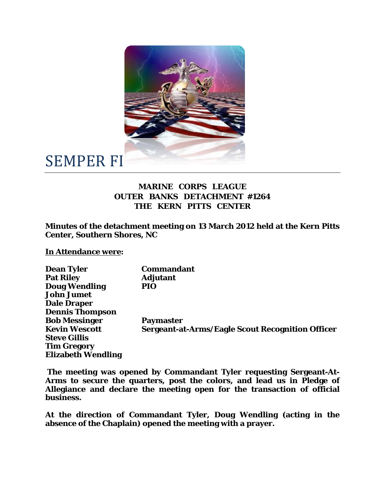

## SEMPER FI

## **MARINE CORPS LEAGUE OUTER BANKS DETACHMENT #1264 THE KERN PITTS CENTER**

**Minutes of the detachment meeting on 13 March 2012 held at the Kern Pitts Center, Southern Shores, NC** 

**In Attendance were:** 

| <b>Dean Tyler</b>         | <b>Commandant</b>                                       |
|---------------------------|---------------------------------------------------------|
| <b>Pat Riley</b>          | <b>Adjutant</b>                                         |
| <b>Doug Wendling</b>      | PIO                                                     |
| <b>John Jumet</b>         |                                                         |
| <b>Dale Draper</b>        |                                                         |
| <b>Dennis Thompson</b>    |                                                         |
| <b>Bob Messinger</b>      | <b>Paymaster</b>                                        |
| <b>Kevin Wescott</b>      | <b>Sergeant-at-Arms/Eagle Scout Recognition Officer</b> |
| <b>Steve Gillis</b>       |                                                         |
| <b>Tim Gregory</b>        |                                                         |
| <b>Elizabeth Wendling</b> |                                                         |

 **The meeting was opened by Commandant Tyler requesting Sergeant-At-Arms to secure the quarters, post the colors, and lead us in Pledge of Allegiance and declare the meeting open for the transaction of official business.** 

**At the direction of Commandant Tyler, Doug Wendling (acting in the absence of the Chaplain) opened the meeting with a prayer.**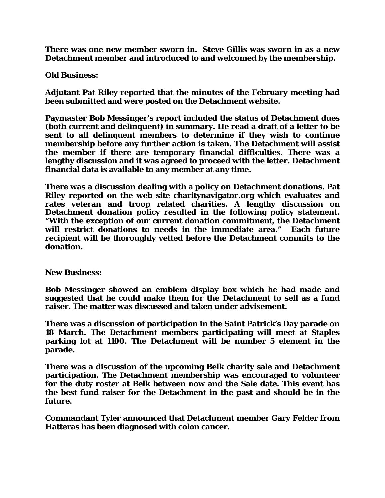**There was one new member sworn in. Steve Gillis was sworn in as a new Detachment member and introduced to and welcomed by the membership.** 

## **Old Business:**

**Adjutant Pat Riley reported that the minutes of the February meeting had been submitted and were posted on the Detachment website.** 

**Paymaster Bob Messinger's report included the status of Detachment dues (both current and delinquent) in summary. He read a draft of a letter to be sent to all delinquent members to determine if they wish to continue membership before any further action is taken. The Detachment will assist the member if there are temporary financial difficulties. There was a lengthy discussion and it was agreed to proceed with the letter. Detachment financial data is available to any member at any time.** 

**There was a discussion dealing with a policy on Detachment donations. Pat Riley reported on the web site charitynavigator.org which evaluates and rates veteran and troop related charities. A lengthy discussion on Detachment donation policy resulted in the following policy statement. "With the exception of our current donation commitment, the Detachment will restrict donations to needs in the immediate area." Each future recipient will be thoroughly vetted before the Detachment commits to the donation.** 

## **New Business:**

**Bob Messinger showed an emblem display box which he had made and suggested that he could make them for the Detachment to sell as a fund raiser. The matter was discussed and taken under advisement.** 

**There was a discussion of participation in the Saint Patrick's Day parade on 18 March. The Detachment members participating will meet at Staples parking lot at 1100. The Detachment will be number 5 element in the parade.** 

**There was a discussion of the upcoming Belk charity sale and Detachment participation. The Detachment membership was encouraged to volunteer for the duty roster at Belk between now and the Sale date. This event has the best fund raiser for the Detachment in the past and should be in the future.** 

**Commandant Tyler announced that Detachment member Gary Felder from Hatteras has been diagnosed with colon cancer.**